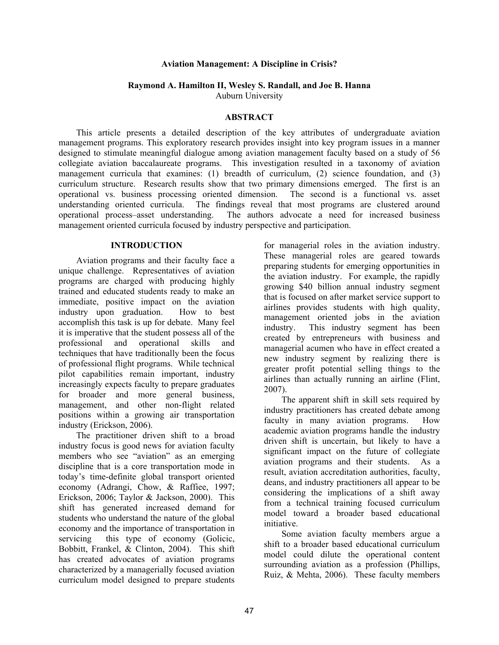#### **Aviation Management: A Discipline in Crisis?**

# **Raymond A. Hamilton II, Wesley S. Randall, and Joe B. Hanna**

Auburn University

### **ABSTRACT**

This article presents a detailed description of the key attributes of undergraduate aviation management programs. This exploratory research provides insight into key program issues in a manner designed to stimulate meaningful dialogue among aviation management faculty based on a study of 56 collegiate aviation baccalaureate programs. This investigation resulted in a taxonomy of aviation management curricula that examines: (1) breadth of curriculum, (2) science foundation, and (3) curriculum structure. Research results show that two primary dimensions emerged. The first is an operational vs. business processing oriented dimension. The second is a functional vs. asset understanding oriented curricula. The findings reveal that most programs are clustered around operational process–asset understanding. The authors advocate a need for increased business management oriented curricula focused by industry perspective and participation.

## **INTRODUCTION**

Aviation programs and their faculty face a unique challenge. Representatives of aviation programs are charged with producing highly trained and educated students ready to make an immediate, positive impact on the aviation industry upon graduation. How to best accomplish this task is up for debate. Many feel it is imperative that the student possess all of the professional and operational skills and techniques that have traditionally been the focus of professional flight programs. While technical pilot capabilities remain important, industry increasingly expects faculty to prepare graduates for broader and more general business, management, and other non-flight related positions within a growing air transportation industry (Erickson, 2006).

The practitioner driven shift to a broad industry focus is good news for aviation faculty members who see "aviation" as an emerging discipline that is a core transportation mode in today's time-definite global transport oriented economy (Adrangi, Chow, & Raffiee, 1997; Erickson, 2006; Taylor & Jackson, 2000). This shift has generated increased demand for students who understand the nature of the global economy and the importance of transportation in servicing this type of economy (Golicic, Bobbitt, Frankel, & Clinton, 2004). This shift has created advocates of aviation programs characterized by a managerially focused aviation curriculum model designed to prepare students

for managerial roles in the aviation industry. These managerial roles are geared towards preparing students for emerging opportunities in the aviation industry. For example, the rapidly growing \$40 billion annual industry segment that is focused on after market service support to airlines provides students with high quality, management oriented jobs in the aviation industry. This industry segment has been created by entrepreneurs with business and managerial acumen who have in effect created a new industry segment by realizing there is greater profit potential selling things to the airlines than actually running an airline (Flint, 2007).

The apparent shift in skill sets required by industry practitioners has created debate among faculty in many aviation programs. How academic aviation programs handle the industry driven shift is uncertain, but likely to have a significant impact on the future of collegiate aviation programs and their students. As a result, aviation accreditation authorities, faculty, deans, and industry practitioners all appear to be considering the implications of a shift away from a technical training focused curriculum model toward a broader based educational initiative.

Some aviation faculty members argue a shift to a broader based educational curriculum model could dilute the operational content surrounding aviation as a profession (Phillips, Ruiz, & Mehta, 2006). These faculty members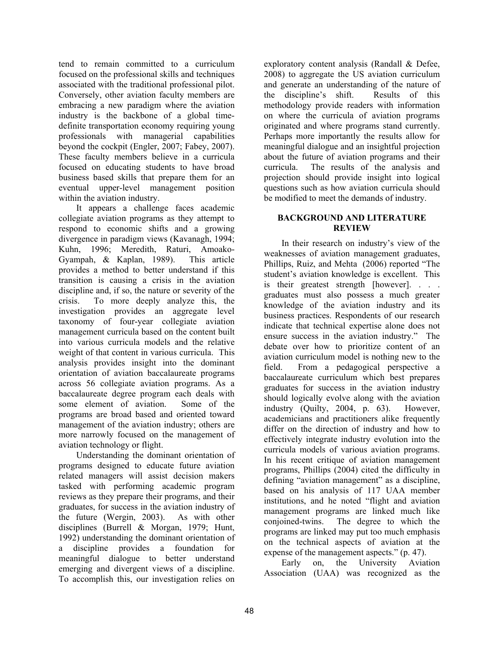tend to remain committed to a curriculum focused on the professional skills and techniques associated with the traditional professional pilot. Conversely, other aviation faculty members are embracing a new paradigm where the aviation industry is the backbone of a global timedefinite transportation economy requiring young professionals with managerial capabilities beyond the cockpit (Engler, 2007; Fabey, 2007). These faculty members believe in a curricula focused on educating students to have broad business based skills that prepare them for an eventual upper-level management position within the aviation industry.

It appears a challenge faces academic collegiate aviation programs as they attempt to respond to economic shifts and a growing divergence in paradigm views (Kavanagh, 1994; Kuhn, 1996; Meredith, Raturi, Amoako-Gyampah, & Kaplan, 1989). This article provides a method to better understand if this transition is causing a crisis in the aviation discipline and, if so, the nature or severity of the crisis. To more deeply analyze this, the investigation provides an aggregate level taxonomy of four-year collegiate aviation management curricula based on the content built into various curricula models and the relative weight of that content in various curricula. This analysis provides insight into the dominant orientation of aviation baccalaureate programs across 56 collegiate aviation programs. As a baccalaureate degree program each deals with some element of aviation. Some of the programs are broad based and oriented toward management of the aviation industry; others are more narrowly focused on the management of aviation technology or flight.

Understanding the dominant orientation of programs designed to educate future aviation related managers will assist decision makers tasked with performing academic program reviews as they prepare their programs, and their graduates, for success in the aviation industry of the future (Wergin, 2003). As with other disciplines (Burrell & Morgan, 1979; Hunt, 1992) understanding the dominant orientation of a discipline provides a foundation for meaningful dialogue to better understand emerging and divergent views of a discipline. To accomplish this, our investigation relies on

exploratory content analysis (Randall & Defee, 2008) to aggregate the US aviation curriculum and generate an understanding of the nature of the discipline's shift. Results of this methodology provide readers with information on where the curricula of aviation programs originated and where programs stand currently. Perhaps more importantly the results allow for meaningful dialogue and an insightful projection about the future of aviation programs and their curricula. The results of the analysis and projection should provide insight into logical questions such as how aviation curricula should be modified to meet the demands of industry.

# **BACKGROUND AND LITERATURE REVIEW**

In their research on industry's view of the weaknesses of aviation management graduates, Phillips, Ruiz, and Mehta (2006) reported "The student's aviation knowledge is excellent. This is their greatest strength [however]. . . . graduates must also possess a much greater knowledge of the aviation industry and its business practices. Respondents of our research indicate that technical expertise alone does not ensure success in the aviation industry." The debate over how to prioritize content of an aviation curriculum model is nothing new to the field. From a pedagogical perspective a baccalaureate curriculum which best prepares graduates for success in the aviation industry should logically evolve along with the aviation industry (Quilty, 2004, p. 63). However, academicians and practitioners alike frequently differ on the direction of industry and how to effectively integrate industry evolution into the curricula models of various aviation programs. In his recent critique of aviation management programs, Phillips (2004) cited the difficulty in defining "aviation management" as a discipline, based on his analysis of 117 UAA member institutions, and he noted "flight and aviation management programs are linked much like conjoined-twins. The degree to which the programs are linked may put too much emphasis on the technical aspects of aviation at the expense of the management aspects." (p. 47).

Early on, the University Aviation Association (UAA) was recognized as the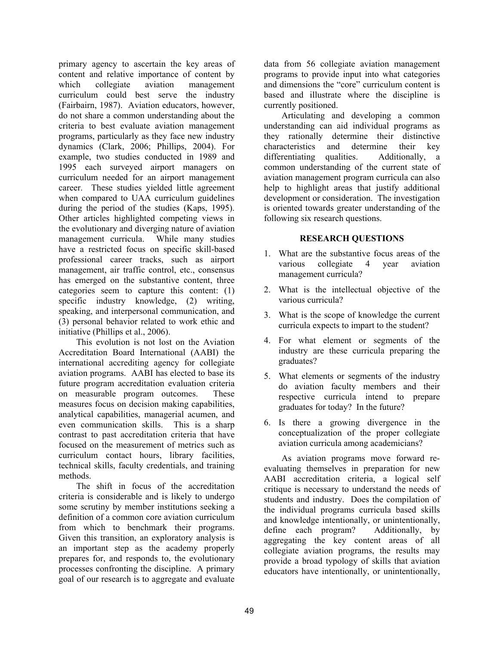primary agency to ascertain the key areas of content and relative importance of content by which collegiate aviation management curriculum could best serve the industry (Fairbairn, 1987). Aviation educators, however, do not share a common understanding about the criteria to best evaluate aviation management programs, particularly as they face new industry dynamics (Clark, 2006; Phillips, 2004). For example, two studies conducted in 1989 and 1995 each surveyed airport managers on curriculum needed for an airport management career. These studies yielded little agreement when compared to UAA curriculum guidelines during the period of the studies (Kaps, 1995). Other articles highlighted competing views in the evolutionary and diverging nature of aviation management curricula. While many studies have a restricted focus on specific skill-based professional career tracks, such as airport management, air traffic control, etc., consensus has emerged on the substantive content, three categories seem to capture this content: (1) specific industry knowledge, (2) writing, speaking, and interpersonal communication, and (3) personal behavior related to work ethic and initiative (Phillips et al., 2006).

This evolution is not lost on the Aviation Accreditation Board International (AABI) the international accrediting agency for collegiate aviation programs. AABI has elected to base its future program accreditation evaluation criteria on measurable program outcomes. These measures focus on decision making capabilities, analytical capabilities, managerial acumen, and even communication skills. This is a sharp contrast to past accreditation criteria that have focused on the measurement of metrics such as curriculum contact hours, library facilities, technical skills, faculty credentials, and training methods.

The shift in focus of the accreditation criteria is considerable and is likely to undergo some scrutiny by member institutions seeking a definition of a common core aviation curriculum from which to benchmark their programs. Given this transition, an exploratory analysis is an important step as the academy properly prepares for, and responds to, the evolutionary processes confronting the discipline. A primary goal of our research is to aggregate and evaluate data from 56 collegiate aviation management programs to provide input into what categories and dimensions the "core" curriculum content is based and illustrate where the discipline is currently positioned.

Articulating and developing a common understanding can aid individual programs as they rationally determine their distinctive characteristics and determine their key differentiating qualities. Additionally, a common understanding of the current state of aviation management program curricula can also help to highlight areas that justify additional development or consideration. The investigation is oriented towards greater understanding of the following six research questions.

# **RESEARCH QUESTIONS**

- 1. What are the substantive focus areas of the various collegiate 4 year aviation management curricula?
- 2. What is the intellectual objective of the various curricula?
- 3. What is the scope of knowledge the current curricula expects to impart to the student?
- 4. For what element or segments of the industry are these curricula preparing the graduates?
- 5. What elements or segments of the industry do aviation faculty members and their respective curricula intend to prepare graduates for today? In the future?
- 6. Is there a growing divergence in the conceptualization of the proper collegiate aviation curricula among academicians?

As aviation programs move forward reevaluating themselves in preparation for new AABI accreditation criteria, a logical self critique is necessary to understand the needs of students and industry. Does the compilation of the individual programs curricula based skills and knowledge intentionally, or unintentionally, define each program? Additionally, by aggregating the key content areas of all collegiate aviation programs, the results may provide a broad typology of skills that aviation educators have intentionally, or unintentionally,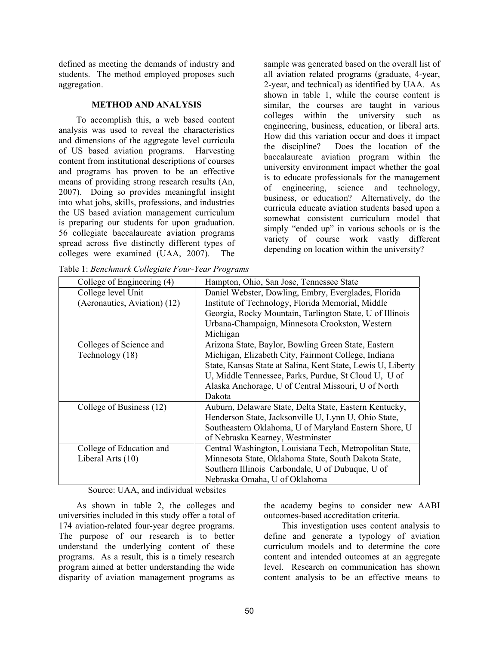defined as meeting the demands of industry and students. The method employed proposes such aggregation.

## **METHOD AND ANALYSIS**

To accomplish this, a web based content analysis was used to reveal the characteristics and dimensions of the aggregate level curricula of US based aviation programs. Harvesting content from institutional descriptions of courses and programs has proven to be an effective means of providing strong research results (An, 2007). Doing so provides meaningful insight into what jobs, skills, professions, and industries the US based aviation management curriculum is preparing our students for upon graduation. 56 collegiate baccalaureate aviation programs spread across five distinctly different types of colleges were examined (UAA, 2007). The

Table 1: *Benchmark Collegiate Four-Year Programs*

sample was generated based on the overall list of all aviation related programs (graduate, 4-year, 2-year, and technical) as identified by UAA. As shown in table 1, while the course content is similar, the courses are taught in various colleges within the university such as engineering, business, education, or liberal arts. How did this variation occur and does it impact the discipline? Does the location of the baccalaureate aviation program within the university environment impact whether the goal is to educate professionals for the management of engineering, science and technology, business, or education? Alternatively, do the curricula educate aviation students based upon a somewhat consistent curriculum model that simply "ended up" in various schools or is the variety of course work vastly different depending on location within the university?

| College of Engineering (4)   | Hampton, Ohio, San Jose, Tennessee State                    |  |  |  |
|------------------------------|-------------------------------------------------------------|--|--|--|
| College level Unit           | Daniel Webster, Dowling, Embry, Everglades, Florida         |  |  |  |
| (Aeronautics, Aviation) (12) | Institute of Technology, Florida Memorial, Middle           |  |  |  |
|                              | Georgia, Rocky Mountain, Tarlington State, U of Illinois    |  |  |  |
|                              | Urbana-Champaign, Minnesota Crookston, Western              |  |  |  |
|                              | Michigan                                                    |  |  |  |
| Colleges of Science and      | Arizona State, Baylor, Bowling Green State, Eastern         |  |  |  |
| Technology (18)              | Michigan, Elizabeth City, Fairmont College, Indiana         |  |  |  |
|                              | State, Kansas State at Salina, Kent State, Lewis U, Liberty |  |  |  |
|                              | U, Middle Tennessee, Parks, Purdue, St Cloud U, U of        |  |  |  |
|                              | Alaska Anchorage, U of Central Missouri, U of North         |  |  |  |
|                              | Dakota                                                      |  |  |  |
| College of Business (12)     | Auburn, Delaware State, Delta State, Eastern Kentucky,      |  |  |  |
|                              | Henderson State, Jacksonville U, Lynn U, Ohio State,        |  |  |  |
|                              | Southeastern Oklahoma, U of Maryland Eastern Shore, U       |  |  |  |
|                              | of Nebraska Kearney, Westminster                            |  |  |  |
| College of Education and     | Central Washington, Louisiana Tech, Metropolitan State,     |  |  |  |
| Liberal Arts (10)            | Minnesota State, Oklahoma State, South Dakota State,        |  |  |  |
|                              | Southern Illinois Carbondale, U of Dubuque, U of            |  |  |  |
|                              | Nebraska Omaha, U of Oklahoma                               |  |  |  |

Source: UAA, and individual websites

As shown in table 2, the colleges and universities included in this study offer a total of 174 aviation-related four-year degree programs. The purpose of our research is to better understand the underlying content of these programs. As a result, this is a timely research program aimed at better understanding the wide disparity of aviation management programs as

the academy begins to consider new AABI outcomes-based accreditation criteria.

This investigation uses content analysis to define and generate a typology of aviation curriculum models and to determine the core content and intended outcomes at an aggregate level. Research on communication has shown content analysis to be an effective means to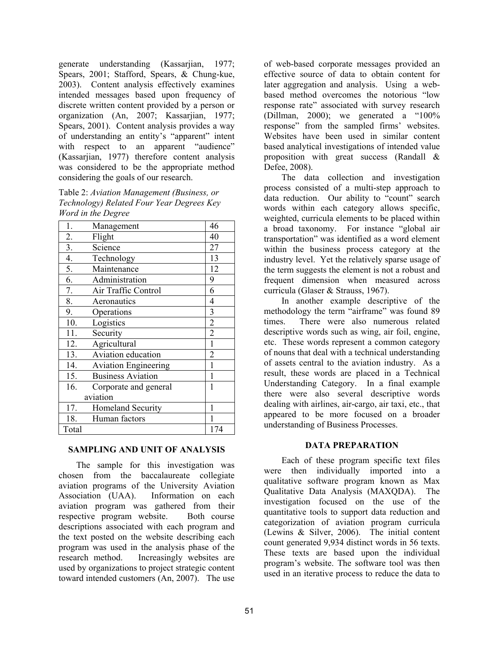generate understanding (Kassarjian, 1977; Spears, 2001; Stafford, Spears, & Chung-kue, 2003). Content analysis effectively examines intended messages based upon frequency of discrete written content provided by a person or organization (An, 2007; Kassarjian, 1977; Spears, 2001). Content analysis provides a way of understanding an entity's "apparent" intent with respect to an apparent "audience" (Kassarjian, 1977) therefore content analysis was considered to be the appropriate method considering the goals of our research.

Table 2: *Aviation Management (Business, or Technology) Related Four Year Degrees Key Word in the Degree* 

| 1.       | Management                  | 46             |
|----------|-----------------------------|----------------|
| 2.       | Flight                      | 40             |
| 3.       | Science                     | 27             |
| 4.       | Technology                  | 13             |
| 5.       | Maintenance                 | 12             |
| 6.       | Administration              | 9              |
| 7.       | Air Traffic Control         | 6              |
| 8.       | Aeronautics                 | $\overline{4}$ |
| 9.       | Operations                  | 3              |
| 10.      | Logistics                   | $\overline{c}$ |
| 11.      | Security                    | $\overline{2}$ |
| 12.      | Agricultural                | $\mathbf{1}$   |
| 13.      | Aviation education          | $\overline{2}$ |
| 14.      | <b>Aviation Engineering</b> | 1              |
| 15.      | <b>Business Aviation</b>    | 1              |
| 16.      | Corporate and general       | 1              |
| aviation |                             |                |
| 17.      | Homeland Security           | 1              |
| 18.      | Human factors               | 1              |
| Total    |                             | 174            |

## **SAMPLING AND UNIT OF ANALYSIS**

The sample for this investigation was chosen from the baccalaureate collegiate aviation programs of the University Aviation Association (UAA). Information on each aviation program was gathered from their respective program website. Both course descriptions associated with each program and the text posted on the website describing each program was used in the analysis phase of the research method. Increasingly websites are used by organizations to project strategic content toward intended customers (An, 2007). The use

of web-based corporate messages provided an effective source of data to obtain content for later aggregation and analysis. Using a webbased method overcomes the notorious "low response rate" associated with survey research (Dillman, 2000); we generated a "100% response" from the sampled firms' websites. Websites have been used in similar content based analytical investigations of intended value proposition with great success (Randall & Defee, 2008).

The data collection and investigation process consisted of a multi-step approach to data reduction. Our ability to "count" search words within each category allows specific, weighted, curricula elements to be placed within a broad taxonomy. For instance "global air transportation" was identified as a word element within the business process category at the industry level. Yet the relatively sparse usage of the term suggests the element is not a robust and frequent dimension when measured across curricula (Glaser & Strauss, 1967).

In another example descriptive of the methodology the term "airframe" was found 89 times. There were also numerous related descriptive words such as wing, air foil, engine, etc. These words represent a common category of nouns that deal with a technical understanding of assets central to the aviation industry. As a result, these words are placed in a Technical Understanding Category. In a final example there were also several descriptive words dealing with airlines, air-cargo, air taxi, etc., that appeared to be more focused on a broader understanding of Business Processes.

## **DATA PREPARATION**

Each of these program specific text files were then individually imported into a qualitative software program known as Max Qualitative Data Analysis (MAXQDA). The investigation focused on the use of the quantitative tools to support data reduction and categorization of aviation program curricula (Lewins & Silver, 2006). The initial content count generated 9,934 distinct words in 56 texts. These texts are based upon the individual program's website. The software tool was then used in an iterative process to reduce the data to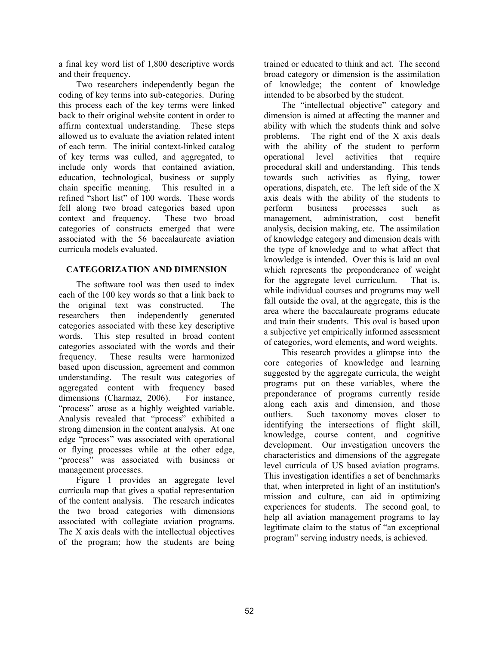a final key word list of 1,800 descriptive words and their frequency.

Two researchers independently began the coding of key terms into sub-categories. During this process each of the key terms were linked back to their original website content in order to affirm contextual understanding. These steps allowed us to evaluate the aviation related intent of each term. The initial context-linked catalog of key terms was culled, and aggregated, to include only words that contained aviation, education, technological, business or supply chain specific meaning. This resulted in a refined "short list" of 100 words. These words fell along two broad categories based upon context and frequency. These two broad categories of constructs emerged that were associated with the 56 baccalaureate aviation curricula models evaluated.

# **CATEGORIZATION AND DIMENSION**

The software tool was then used to index each of the 100 key words so that a link back to the original text was constructed. The researchers then independently generated categories associated with these key descriptive words. This step resulted in broad content categories associated with the words and their frequency. These results were harmonized based upon discussion, agreement and common understanding. The result was categories of aggregated content with frequency based dimensions (Charmaz, 2006). For instance, "process" arose as a highly weighted variable. Analysis revealed that "process" exhibited a strong dimension in the content analysis. At one edge "process" was associated with operational or flying processes while at the other edge, "process" was associated with business or management processes.

Figure 1 provides an aggregate level curricula map that gives a spatial representation of the content analysis. The research indicates the two broad categories with dimensions associated with collegiate aviation programs. The X axis deals with the intellectual objectives of the program; how the students are being

trained or educated to think and act. The second broad category or dimension is the assimilation of knowledge; the content of knowledge intended to be absorbed by the student.

The "intellectual objective" category and dimension is aimed at affecting the manner and ability with which the students think and solve problems. The right end of the X axis deals with the ability of the student to perform operational level activities that require procedural skill and understanding. This tends towards such activities as flying, tower operations, dispatch, etc. The left side of the X axis deals with the ability of the students to perform business processes such as management, administration, cost benefit analysis, decision making, etc. The assimilation of knowledge category and dimension deals with the type of knowledge and to what affect that knowledge is intended. Over this is laid an oval which represents the preponderance of weight for the aggregate level curriculum. That is, while individual courses and programs may well fall outside the oval, at the aggregate, this is the area where the baccalaureate programs educate and train their students. This oval is based upon a subjective yet empirically informed assessment of categories, word elements, and word weights.

This research provides a glimpse into the core categories of knowledge and learning suggested by the aggregate curricula, the weight programs put on these variables, where the preponderance of programs currently reside along each axis and dimension, and those outliers. Such taxonomy moves closer to identifying the intersections of flight skill, knowledge, course content, and cognitive development. Our investigation uncovers the characteristics and dimensions of the aggregate level curricula of US based aviation programs. This investigation identifies a set of benchmarks that, when interpreted in light of an institution's mission and culture, can aid in optimizing experiences for students. The second goal, to help all aviation management programs to lay legitimate claim to the status of "an exceptional program" serving industry needs, is achieved.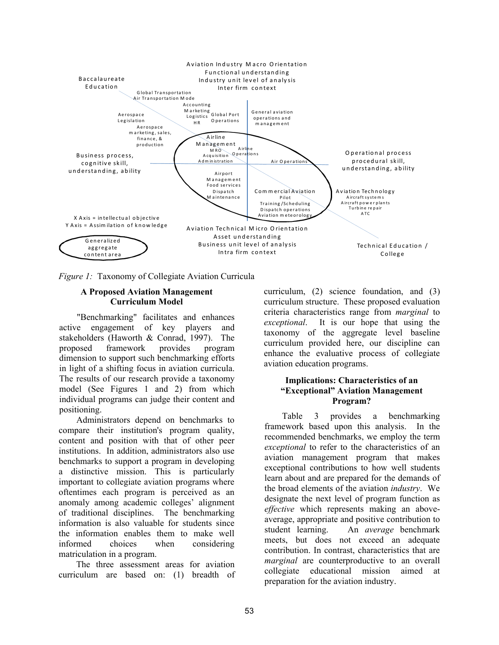

*Figure 1:* Taxonomy of Collegiate Aviation Curricula

### **A Proposed Aviation Management Curriculum Model**

"Benchmarking" facilitates and enhances active engagement of key players and stakeholders (Haworth & Conrad, 1997). The proposed framework provides program dimension to support such benchmarking efforts in light of a shifting focus in aviation curricula. The results of our research provide a taxonomy model (See Figures 1 and 2) from which individual programs can judge their content and positioning.

Administrators depend on benchmarks to compare their institution's program quality, content and position with that of other peer institutions. In addition, administrators also use benchmarks to support a program in developing a distinctive mission. This is particularly important to collegiate aviation programs where oftentimes each program is perceived as an anomaly among academic colleges' alignment of traditional disciplines. The benchmarking information is also valuable for students since the information enables them to make well informed choices when considering matriculation in a program.

The three assessment areas for aviation curriculum are based on: (1) breadth of curriculum, (2) science foundation, and (3) curriculum structure. These proposed evaluation criteria characteristics range from *marginal* to *exceptional*.It is our hope that using the taxonomy of the aggregate level baseline curriculum provided here, our discipline can enhance the evaluative process of collegiate aviation education programs.

## **Implications: Characteristics of an "Exceptional" Aviation Management Program?**

Table 3 provides a benchmarking framework based upon this analysis. In the recommended benchmarks, we employ the term *exceptional* to refer to the characteristics of an aviation management program that makes exceptional contributions to how well students learn about and are prepared for the demands of the broad elements of the aviation *industry*. We designate the next level of program function as *effective* which represents making an aboveaverage, appropriate and positive contribution to student learning. An *average* benchmark meets, but does not exceed an adequate contribution. In contrast, characteristics that are *marginal* are counterproductive to an overall collegiate educational mission aimed at preparation for the aviation industry.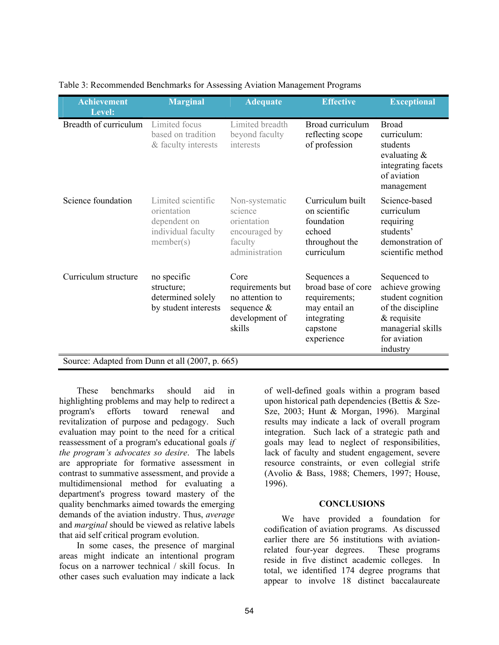| <b>Achievement</b>                              | <b>Marginal</b>                                                                      | <b>Adequate</b>                                                                          | <b>Effective</b>                                                                                             | <b>Exceptional</b>                                                                                                                          |  |  |
|-------------------------------------------------|--------------------------------------------------------------------------------------|------------------------------------------------------------------------------------------|--------------------------------------------------------------------------------------------------------------|---------------------------------------------------------------------------------------------------------------------------------------------|--|--|
| Level:                                          |                                                                                      |                                                                                          |                                                                                                              |                                                                                                                                             |  |  |
| Breadth of curriculum                           | Limited focus<br>based on tradition<br>& faculty interests                           | Limited breadth<br>beyond faculty<br>interests                                           | Broad curriculum<br>reflecting scope<br>of profession                                                        | <b>Broad</b><br>curriculum:<br>students<br>evaluating $\&$<br>integrating facets<br>of aviation<br>management                               |  |  |
| Science foundation                              | Limited scientific<br>orientation<br>dependent on<br>individual faculty<br>member(s) | Non-systematic<br>science<br>orientation<br>encouraged by<br>faculty<br>administration   | Curriculum built<br>on scientific<br>foundation<br>echoed<br>throughout the<br>curriculum                    | Science-based<br>curriculum<br>requiring<br>students'<br>demonstration of<br>scientific method                                              |  |  |
| Curriculum structure                            | no specific<br>structure;<br>determined solely<br>by student interests               | Core<br>requirements but<br>no attention to<br>sequence $\&$<br>development of<br>skills | Sequences a<br>broad base of core<br>requirements;<br>may entail an<br>integrating<br>capstone<br>experience | Sequenced to<br>achieve growing<br>student cognition<br>of the discipline<br>$&$ requisite<br>managerial skills<br>for aviation<br>industry |  |  |
| Source: Adapted from Dunn et all (2007, p. 665) |                                                                                      |                                                                                          |                                                                                                              |                                                                                                                                             |  |  |

Table 3: Recommended Benchmarks for Assessing Aviation Management Programs

These benchmarks should aid in highlighting problems and may help to redirect a program's efforts toward renewal and revitalization of purpose and pedagogy. Such evaluation may point to the need for a critical reassessment of a program's educational goals *if the program's advocates so desire*. The labels are appropriate for formative assessment in contrast to summative assessment, and provide a multidimensional method for evaluating a department's progress toward mastery of the quality benchmarks aimed towards the emerging demands of the aviation industry. Thus, *average*  and *marginal* should be viewed as relative labels that aid self critical program evolution.

In some cases, the presence of marginal areas might indicate an intentional program focus on a narrower technical / skill focus. In other cases such evaluation may indicate a lack

of well-defined goals within a program based upon historical path dependencies (Bettis & Sze-Sze, 2003; Hunt & Morgan, 1996). Marginal results may indicate a lack of overall program integration. Such lack of a strategic path and goals may lead to neglect of responsibilities, lack of faculty and student engagement, severe resource constraints, or even collegial strife (Avolio & Bass, 1988; Chemers, 1997; House, 1996).

#### **CONCLUSIONS**

We have provided a foundation for codification of aviation programs. As discussed earlier there are 56 institutions with aviationrelated four-year degrees. These programs reside in five distinct academic colleges. In total, we identified 174 degree programs that appear to involve 18 distinct baccalaureate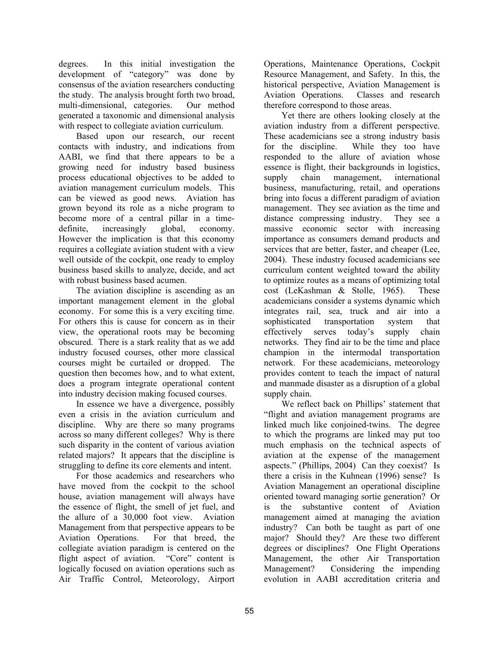degrees. In this initial investigation the development of "category" was done by consensus of the aviation researchers conducting the study. The analysis brought forth two broad, multi-dimensional, categories. Our method generated a taxonomic and dimensional analysis with respect to collegiate aviation curriculum.

Based upon our research, our recent contacts with industry, and indications from AABI, we find that there appears to be a growing need for industry based business process educational objectives to be added to aviation management curriculum models. This can be viewed as good news. Aviation has grown beyond its role as a niche program to become more of a central pillar in a timedefinite, increasingly global, economy. However the implication is that this economy requires a collegiate aviation student with a view well outside of the cockpit, one ready to employ business based skills to analyze, decide, and act with robust business based acumen.

The aviation discipline is ascending as an important management element in the global economy. For some this is a very exciting time. For others this is cause for concern as in their view, the operational roots may be becoming obscured. There is a stark reality that as we add industry focused courses, other more classical courses might be curtailed or dropped. The question then becomes how, and to what extent, does a program integrate operational content into industry decision making focused courses.

In essence we have a divergence, possibly even a crisis in the aviation curriculum and discipline. Why are there so many programs across so many different colleges? Why is there such disparity in the content of various aviation related majors? It appears that the discipline is struggling to define its core elements and intent.

For those academics and researchers who have moved from the cockpit to the school house, aviation management will always have the essence of flight, the smell of jet fuel, and the allure of a 30,000 foot view. Aviation Management from that perspective appears to be Aviation Operations. For that breed, the collegiate aviation paradigm is centered on the flight aspect of aviation. "Core" content is logically focused on aviation operations such as Air Traffic Control, Meteorology, Airport

Operations, Maintenance Operations, Cockpit Resource Management, and Safety. In this, the historical perspective, Aviation Management is Aviation Operations. Classes and research therefore correspond to those areas.

Yet there are others looking closely at the aviation industry from a different perspective. These academicians see a strong industry basis for the discipline. While they too have responded to the allure of aviation whose essence is flight, their backgrounds in logistics, supply chain management, international business, manufacturing, retail, and operations bring into focus a different paradigm of aviation management. They see aviation as the time and distance compressing industry. They see a massive economic sector with increasing importance as consumers demand products and services that are better, faster, and cheaper (Lee, 2004). These industry focused academicians see curriculum content weighted toward the ability to optimize routes as a means of optimizing total cost (LeKashman & Stolle, 1965). These academicians consider a systems dynamic which integrates rail, sea, truck and air into a sophisticated transportation system that effectively serves today's supply chain networks. They find air to be the time and place champion in the intermodal transportation network. For these academicians, meteorology provides content to teach the impact of natural and manmade disaster as a disruption of a global supply chain.

We reflect back on Phillips' statement that "flight and aviation management programs are linked much like conjoined-twins. The degree to which the programs are linked may put too much emphasis on the technical aspects of aviation at the expense of the management aspects." (Phillips, 2004) Can they coexist? Is there a crisis in the Kuhnean (1996) sense? Is Aviation Management an operational discipline oriented toward managing sortie generation? Or is the substantive content of Aviation management aimed at managing the aviation industry? Can both be taught as part of one major? Should they? Are these two different degrees or disciplines? One Flight Operations Management, the other Air Transportation Management? Considering the impending evolution in AABI accreditation criteria and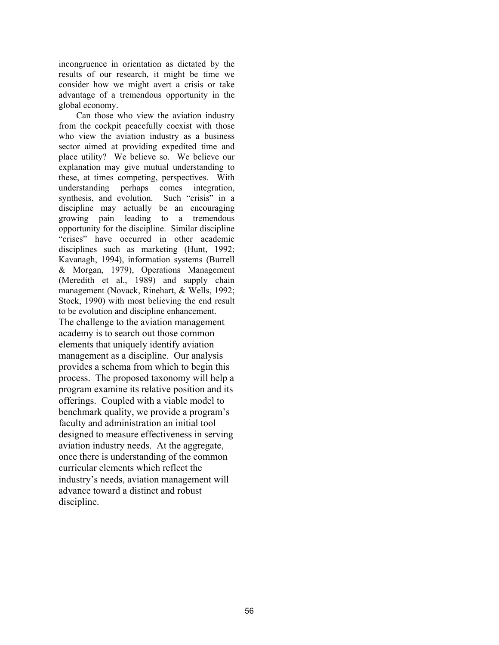incongruence in orientation as dictated by the results of our research, it might be time we consider how we might avert a crisis or take advantage of a tremendous opportunity in the global economy.

Can those who view the aviation industry from the cockpit peacefully coexist with those who view the aviation industry as a business sector aimed at providing expedited time and place utility? We believe so. We believe our explanation may give mutual understanding to these, at times competing, perspectives. With understanding perhaps comes integration, synthesis, and evolution. Such "crisis" in a discipline may actually be an encouraging growing pain leading to a tremendous opportunity for the discipline. Similar discipline "crises" have occurred in other academic disciplines such as marketing (Hunt, 1992; Kavanagh, 1994), information systems (Burrell & Morgan, 1979), Operations Management (Meredith et al., 1989) and supply chain management (Novack, Rinehart, & Wells, 1992; Stock, 1990) with most believing the end result to be evolution and discipline enhancement. The challenge to the aviation management academy is to search out those common elements that uniquely identify aviation management as a discipline. Our analysis provides a schema from which to begin this process. The proposed taxonomy will help a program examine its relative position and its offerings. Coupled with a viable model to benchmark quality, we provide a program's faculty and administration an initial tool designed to measure effectiveness in serving aviation industry needs. At the aggregate, once there is understanding of the common curricular elements which reflect the industry's needs, aviation management will advance toward a distinct and robust discipline.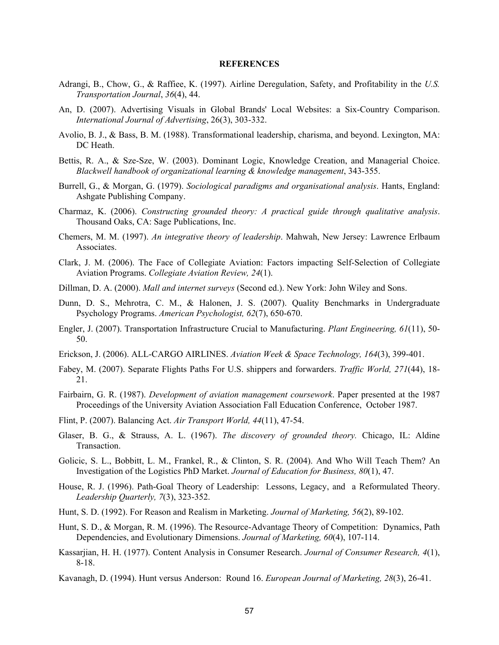#### **REFERENCES**

- Adrangi, B., Chow, G., & Raffiee, K. (1997). Airline Deregulation, Safety, and Profitability in the *U.S. Transportation Journal*, *36*(4), 44.
- An, D. (2007). Advertising Visuals in Global Brands' Local Websites: a Six-Country Comparison. *International Journal of Advertising*, 26(3), 303-332.
- Avolio, B. J., & Bass, B. M. (1988). Transformational leadership, charisma, and beyond. Lexington, MA: DC Heath.
- Bettis, R. A., & Sze-Sze, W. (2003). Dominant Logic, Knowledge Creation, and Managerial Choice. *Blackwell handbook of organizational learning & knowledge management*, 343-355.
- Burrell, G., & Morgan, G. (1979). *Sociological paradigms and organisational analysis*. Hants, England: Ashgate Publishing Company.
- Charmaz, K. (2006). *Constructing grounded theory: A practical guide through qualitative analysis*. Thousand Oaks, CA: Sage Publications, Inc.
- Chemers, M. M. (1997). *An integrative theory of leadership*. Mahwah, New Jersey: Lawrence Erlbaum Associates.
- Clark, J. M. (2006). The Face of Collegiate Aviation: Factors impacting Self-Selection of Collegiate Aviation Programs. *Collegiate Aviation Review, 24*(1).
- Dillman, D. A. (2000). *Mall and internet surveys* (Second ed.). New York: John Wiley and Sons.
- Dunn, D. S., Mehrotra, C. M., & Halonen, J. S. (2007). Quality Benchmarks in Undergraduate Psychology Programs. *American Psychologist, 62*(7), 650-670.
- Engler, J. (2007). Transportation Infrastructure Crucial to Manufacturing. *Plant Engineering, 61*(11), 50- 50.
- Erickson, J. (2006). ALL-CARGO AIRLINES. *Aviation Week & Space Technology, 164*(3), 399-401.
- Fabey, M. (2007). Separate Flights Paths For U.S. shippers and forwarders. *Traffic World, 271*(44), 18- 21.
- Fairbairn, G. R. (1987). *Development of aviation management coursework*. Paper presented at the 1987 Proceedings of the University Aviation Association Fall Education Conference, October 1987.
- Flint, P. (2007). Balancing Act. *Air Transport World, 44*(11), 47-54.
- Glaser, B. G., & Strauss, A. L. (1967). *The discovery of grounded theory.* Chicago, IL: Aldine Transaction.
- Golicic, S. L., Bobbitt, L. M., Frankel, R., & Clinton, S. R. (2004). And Who Will Teach Them? An Investigation of the Logistics PhD Market. *Journal of Education for Business, 80*(1), 47.
- House, R. J. (1996). Path-Goal Theory of Leadership: Lessons, Legacy, and a Reformulated Theory. *Leadership Quarterly, 7*(3), 323-352.
- Hunt, S. D. (1992). For Reason and Realism in Marketing. *Journal of Marketing, 56*(2), 89-102.
- Hunt, S. D., & Morgan, R. M. (1996). The Resource-Advantage Theory of Competition: Dynamics, Path Dependencies, and Evolutionary Dimensions. *Journal of Marketing, 60*(4), 107-114.
- Kassarjian, H. H. (1977). Content Analysis in Consumer Research. *Journal of Consumer Research, 4*(1), 8-18.
- Kavanagh, D. (1994). Hunt versus Anderson: Round 16. *European Journal of Marketing, 28*(3), 26-41.